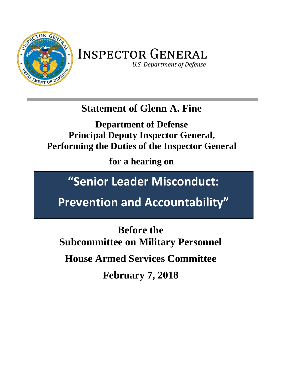

# **INSPECTOR GENERAL**

**U.S. Department of Defense** 

## **Statement of Glenn A. Fine**

**Department of Defense Principal Deputy Inspector General, Performing the Duties of the Inspector General**

**for a hearing on**

## **"Senior Leader Misconduct:**

**Prevention and Accountability"**

**Before the Subcommittee on Military Personnel House Armed Services Committee February 7, 2018**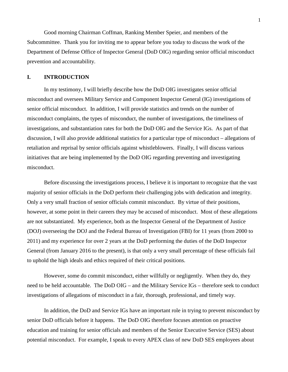Good morning Chairman Coffman, Ranking Member Speier, and members of the Subcommittee. Thank you for inviting me to appear before you today to discuss the work of the Department of Defense Office of Inspector General (DoD OIG) regarding senior official misconduct prevention and accountability.

#### **I. INTRODUCTION**

In my testimony, I will briefly describe how the DoD OIG investigates senior official misconduct and oversees Military Service and Component Inspector General (IG) investigations of senior official misconduct. In addition, I will provide statistics and trends on the number of misconduct complaints, the types of misconduct, the number of investigations, the timeliness of investigations, and substantiation rates for both the DoD OIG and the Service IGs. As part of that discussion, I will also provide additional statistics for a particular type of misconduct – allegations of retaliation and reprisal by senior officials against whistleblowers. Finally, I will discuss various initiatives that are being implemented by the DoD OIG regarding preventing and investigating misconduct.

Before discussing the investigations process, I believe it is important to recognize that the vast majority of senior officials in the DoD perform their challenging jobs with dedication and integrity. Only a very small fraction of senior officials commit misconduct. By virtue of their positions, however, at some point in their careers they may be accused of misconduct. Most of these allegations are not substantiated. My experience, both as the Inspector General of the Department of Justice (DOJ) overseeing the DOJ and the Federal Bureau of Investigation (FBI) for 11 years (from 2000 to 2011) and my experience for over 2 years at the DoD performing the duties of the DoD Inspector General (from January 2016 to the present), is that only a very small percentage of these officials fail to uphold the high ideals and ethics required of their critical positions.

However, some do commit misconduct, either willfully or negligently. When they do, they need to be held accountable. The DoD OIG – and the Military Service IGs – therefore seek to conduct investigations of allegations of misconduct in a fair, thorough, professional, and timely way.

In addition, the DoD and Service IGs have an important role in trying to prevent misconduct by senior DoD officials before it happens. The DoD OIG therefore focuses attention on proactive education and training for senior officials and members of the Senior Executive Service (SES) about potential misconduct. For example, I speak to every APEX class of new DoD SES employees about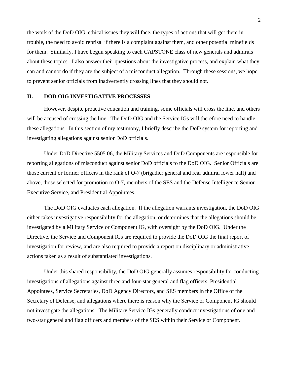the work of the DoD OIG, ethical issues they will face, the types of actions that will get them in trouble, the need to avoid reprisal if there is a complaint against them, and other potential minefields for them. Similarly, I have begun speaking to each CAPSTONE class of new generals and admirals about these topics. I also answer their questions about the investigative process, and explain what they can and cannot do if they are the subject of a misconduct allegation. Through these sessions, we hope to prevent senior officials from inadvertently crossing lines that they should not.

#### **II. DOD OIG INVESTIGATIVE PROCESSES**

However, despite proactive education and training, some officials will cross the line, and others will be accused of crossing the line. The DoD OIG and the Service IGs will therefore need to handle these allegations. In this section of my testimony, I briefly describe the DoD system for reporting and investigating allegations against senior DoD officials.

Under DoD Directive 5505.06, the Military Services and DoD Components are responsible for reporting allegations of misconduct against senior DoD officials to the DoD OIG. Senior Officials are those current or former officers in the rank of O-7 (brigadier general and rear admiral lower half) and above, those selected for promotion to O-7, members of the SES and the Defense Intelligence Senior Executive Service, and Presidential Appointees.

The DoD OIG evaluates each allegation. If the allegation warrants investigation, the DoD OIG either takes investigative responsibility for the allegation, or determines that the allegations should be investigated by a Military Service or Component IG, with oversight by the DoD OIG. Under the Directive, the Service and Component IGs are required to provide the DoD OIG the final report of investigation for review, and are also required to provide a report on disciplinary or administrative actions taken as a result of substantiated investigations.

Under this shared responsibility, the DoD OIG generally assumes responsibility for conducting investigations of allegations against three and four-star general and flag officers, Presidential Appointees, Service Secretaries, DoD Agency Directors, and SES members in the Office of the Secretary of Defense, and allegations where there is reason why the Service or Component IG should not investigate the allegations. The Military Service IGs generally conduct investigations of one and two-star general and flag officers and members of the SES within their Service or Component.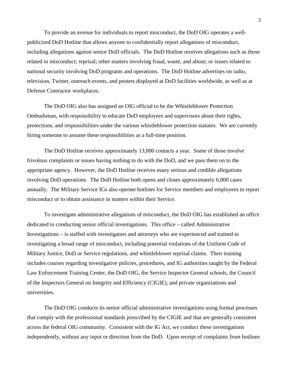To provide an avenue for individuals to report misconduct, the DoD OIG operates a wellpublicized DoD Hotline that allows anyone to confidentially report allegations of misconduct, including allegations against senior DoD officials. The DoD Hotline receives allegations such as those related to misconduct; reprisal; other matters involving fraud, waste, and abuse; or issues related to national security involving DoD programs and operations. The DoD Hotline advertises on radio, television, Twitter, outreach events, and posters displayed at DoD facilities worldwide, as well as at Defense Contractor workplaces.

The DoD OIG also has assigned an OIG official to be the Whistleblower Protection Ombudsman, with responsibility to educate DoD employees and supervisors about their rights, protections, and responsibilities under the various whistleblower protection statutes. We are currently hiring someone to assume these responsibilities as a full-time position.

The DoD Hotline receives approximately 13,000 contacts a year. Some of those involve frivolous complaints or issues having nothing to do with the DoD, and we pass them on to the appropriate agency. However, the DoD Hotline receives many serious and credible allegations involving DoD operations. The DoD Hotline both opens and closes approximately 6,000 cases annually. The Military Service IGs also operate hotlines for Service members and employees to report misconduct or to obtain assistance in matters within their Service.

To investigate administrative allegations of misconduct, the DoD OIG has established an office dedicated to conducting senior official investigations. This office – called Administrative Investigations – is staffed with investigators and attorneys who are experienced and trained in investigating a broad range of misconduct, including potential violations of the Uniform Code of Military Justice, DoD or Service regulations, and whistleblower reprisal claims. Their training includes courses regarding investigative policies, procedures, and IG authorities taught by the Federal Law Enforcement Training Center, the DoD OIG, the Service Inspector General schools, the Council of the Inspectors General on Integrity and Efficiency (CIGIE), and private organizations and universities.

The DoD OIG conducts its senior official administrative investigations using formal processes that comply with the professional standards prescribed by the CIGIE and that are generally consistent across the federal OIG community. Consistent with the IG Act, we conduct these investigations independently, without any input or direction from the DoD. Upon receipt of complaints from hotlines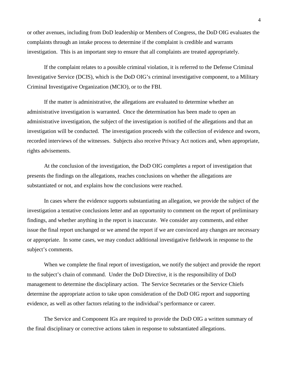or other avenues, including from DoD leadership or Members of Congress, the DoD OIG evaluates the complaints through an intake process to determine if the complaint is credible and warrants investigation. This is an important step to ensure that all complaints are treated appropriately.

If the complaint relates to a possible criminal violation, it is referred to the Defense Criminal Investigative Service (DCIS), which is the DoD OIG's criminal investigative component, to a Military Criminal Investigative Organization (MCIO), or to the FBI.

If the matter is administrative, the allegations are evaluated to determine whether an administrative investigation is warranted. Once the determination has been made to open an administrative investigation, the subject of the investigation is notified of the allegations and that an investigation will be conducted. The investigation proceeds with the collection of evidence and sworn, recorded interviews of the witnesses. Subjects also receive Privacy Act notices and, when appropriate, rights advisements.

At the conclusion of the investigation, the DoD OIG completes a report of investigation that presents the findings on the allegations, reaches conclusions on whether the allegations are substantiated or not, and explains how the conclusions were reached.

In cases where the evidence supports substantiating an allegation, we provide the subject of the investigation a tentative conclusions letter and an opportunity to comment on the report of preliminary findings, and whether anything in the report is inaccurate. We consider any comments, and either issue the final report unchanged or we amend the report if we are convinced any changes are necessary or appropriate. In some cases, we may conduct additional investigative fieldwork in response to the subject's comments.

When we complete the final report of investigation, we notify the subject and provide the report to the subject's chain of command. Under the DoD Directive, it is the responsibility of DoD management to determine the disciplinary action. The Service Secretaries or the Service Chiefs determine the appropriate action to take upon consideration of the DoD OIG report and supporting evidence, as well as other factors relating to the individual's performance or career.

The Service and Component IGs are required to provide the DoD OIG a written summary of the final disciplinary or corrective actions taken in response to substantiated allegations.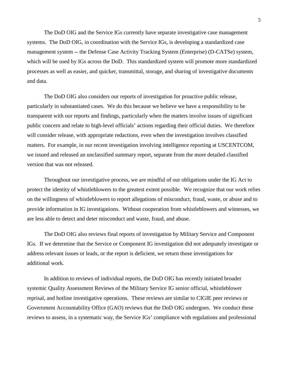The DoD OIG and the Service IGs currently have separate investigative case management systems. The DoD OIG, in coordination with the Service IGs, is developing a standardized case management system -- the Defense Case Activity Tracking System (Enterprise) (D-CATSe) system, which will be used by IGs across the DoD. This standardized system will promote more standardized processes as well as easier, and quicker, transmittal, storage, and sharing of investigative documents and data.

The DoD OIG also considers our reports of investigation for proactive public release, particularly in substantiated cases. We do this because we believe we have a responsibility to be transparent with our reports and findings, particularly when the matters involve issues of significant public concern and relate to high-level officials' actions regarding their official duties. We therefore will consider release, with appropriate redactions, even when the investigation involves classified matters. For example, in our recent investigation involving intelligence reporting at USCENTCOM, we issued and released an unclassified summary report, separate from the more detailed classified version that was not released.

Throughout our investigative process, we are mindful of our obligations under the IG Act to protect the identity of whistleblowers to the greatest extent possible. We recognize that our work relies on the willingness of whistleblowers to report allegations of misconduct, fraud, waste, or abuse and to provide information in IG investigations. Without cooperation from whistleblowers and witnesses, we are less able to detect and deter misconduct and waste, fraud, and abuse.

The DoD OIG also reviews final reports of investigation by Military Service and Component IGs. If we determine that the Service or Component IG investigation did not adequately investigate or address relevant issues or leads, or the report is deficient, we return those investigations for additional work.

In addition to reviews of individual reports, the DoD OIG has recently initiated broader systemic Quality Assessment Reviews of the Military Service IG senior official, whistleblower reprisal, and hotline investigative operations. These reviews are similar to CIGIE peer reviews or Government Accountability Office (GAO) reviews that the DoD OIG undergoes. We conduct these reviews to assess, in a systematic way, the Service IGs' compliance with regulations and professional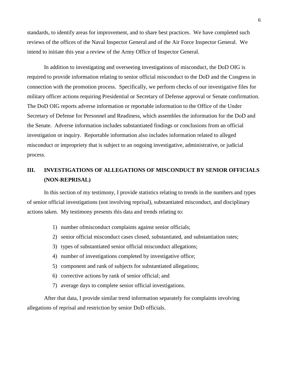standards, to identify areas for improvement, and to share best practices. We have completed such reviews of the offices of the Naval Inspector General and of the Air Force Inspector General. We intend to initiate this year a review of the Army Office of Inspector General.

In addition to investigating and overseeing investigations of misconduct, the DoD OIG is required to provide information relating to senior official misconduct to the DoD and the Congress in connection with the promotion process. Specifically, we perform checks of our investigative files for military officer actions requiring Presidential or Secretary of Defense approval or Senate confirmation. The DoD OIG reports adverse information or reportable information to the Office of the Under Secretary of Defense for Personnel and Readiness, which assembles the information for the DoD and the Senate. Adverse information includes substantiated findings or conclusions from an official investigation or inquiry. Reportable information also includes information related to alleged misconduct or impropriety that is subject to an ongoing investigative, administrative, or judicial process.

### **III. INVESTIGATIONS OF ALLEGATIONS OF MISCONDUCT BY SENIOR OFFICIALS (NON-REPRISAL)**

In this section of my testimony, I provide statistics relating to trends in the numbers and types of senior official investigations (not involving reprisal), substantiated misconduct, and disciplinary actions taken. My testimony presents this data and trends relating to:

- 1) number ofmisconduct complaints against senior officials;
- 2) senior official misconduct cases closed, substantiated, and substantiation rates;
- 3) types of substantiated senior official misconduct allegations;
- 4) number of investigations completed by investigative office;
- 5) component and rank of subjects for substantiated allegations;
- 6) corrective actions by rank of senior official; and
- 7) average days to complete senior official investigations.

After that data, I provide similar trend information separately for complaints involving allegations of reprisal and restriction by senior DoD officials.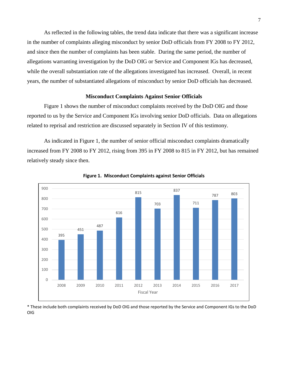As reflected in the following tables, the trend data indicate that there was a significant increase in the number of complaints alleging misconduct by senior DoD officials from FY 2008 to FY 2012, and since then the number of complaints has been stable. During the same period, the number of allegations warranting investigation by the DoD OIG or Service and Component IGs has decreased, while the overall substantiation rate of the allegations investigated has increased. Overall, in recent years, the number of substantiated allegations of misconduct by senior DoD officials has decreased.

#### **Misconduct Complaints Against Senior Officials**

Figure 1 shows the number of misconduct complaints received by the DoD OIG and those reported to us by the Service and Component IGs involving senior DoD officials. Data on allegations related to reprisal and restriction are discussed separately in Section IV of this testimony.

As indicated in Figure 1, the number of senior official misconduct complaints dramatically increased from FY 2008 to FY 2012, rising from 395 in FY 2008 to 815 in FY 2012, but has remained relatively steady since then.





\* These include both complaints received by DoD OIG and those reported by the Service and Component IGs to the DoD OIG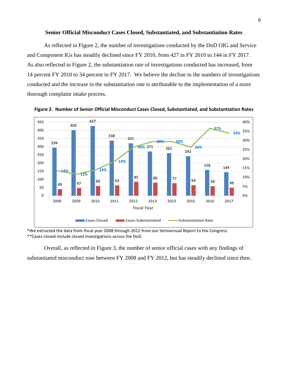#### **Senior Official Misconduct Cases Closed, Substantiated, and Substantiation Rates**

As reflected in Figure 2, the number of investigations conducted by the DoD OIG and Service and Component IGs has steadily declined since FY 2010, from 427 in FY 2010 to 144 in FY 2017. As also reflected in Figure 2, the substantiation rate of investigations conducted has increased, from 14 percent FY 2010 to 34 percent in FY 2017. We believe the decline in the numbers of investigations conducted and the increase in the substantiation rate is attributable to the implementation of a more thorough complaint intake process.



**Figure 2. Number of Senior Official Misconduct Cases Closed, Substantiated, and Substantiation Rates**

\*We extracted the data from fiscal year 2008 through 2012 from our Semiannual Report to the Congress. \*\*Cases closed include closed investigations across the DoD.

Overall, as reflected in Figure 3, the number of senior official cases with any findings of substantiated misconduct rose between FY 2008 and FY 2012, but has steadily declined since then.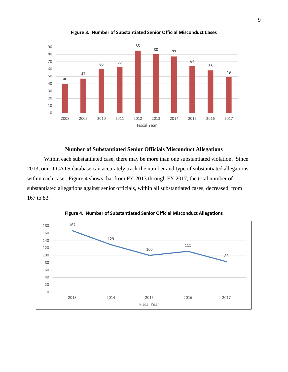

**Figure 3. Number of Substantiated Senior Official Misconduct Cases**

#### **Number of Substantiated Senior Officials Misconduct Allegations**

Within each substantiated case, there may be more than one substantiated violation. Since 2013, our D-CATS database can accurately track the number and type of substantiated allegations within each case. Figure 4 shows that from FY 2013 through FY 2017, the total number of substantiated allegations against senior officials, within all substantiated cases, decreased, from to 83.



**Figure 4. Number of Substantiated Senior Official Misconduct Allegations**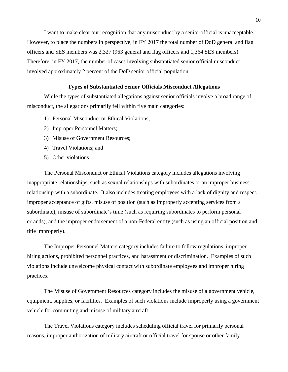I want to make clear our recognition that any misconduct by a senior official is unacceptable. However, to place the numbers in perspective, in FY 2017 the total number of DoD general and flag officers and SES members was 2,327 (963 general and flag officers and 1,364 SES members). Therefore, in FY 2017, the number of cases involving substantiated senior official misconduct involved approximately 2 percent of the DoD senior official population.

#### **Types of Substantiated Senior Officials Misconduct Allegations**

While the types of substantiated allegations against senior officials involve a broad range of misconduct, the allegations primarily fell within five main categories:

- 1) Personal Misconduct or Ethical Violations;
- 2) Improper Personnel Matters;
- 3) Misuse of Government Resources;
- 4) Travel Violations; and
- 5) Other violations.

The Personal Misconduct or Ethical Violations category includes allegations involving inappropriate relationships, such as sexual relationships with subordinates or an improper business relationship with a subordinate. It also includes treating employees with a lack of dignity and respect, improper acceptance of gifts, misuse of position (such as improperly accepting services from a subordinate), misuse of subordinate's time (such as requiring subordinates to perform personal errands), and the improper endorsement of a non-Federal entity (such as using an official position and title improperly).

The Improper Personnel Matters category includes failure to follow regulations, improper hiring actions, prohibited personnel practices, and harassment or discrimination. Examples of such violations include unwelcome physical contact with subordinate employees and improper hiring practices.

The Misuse of Government Resources category includes the misuse of a government vehicle, equipment, supplies, or facilities. Examples of such violations include improperly using a government vehicle for commuting and misuse of military aircraft.

The Travel Violations category includes scheduling official travel for primarily personal reasons, improper authorization of military aircraft or official travel for spouse or other family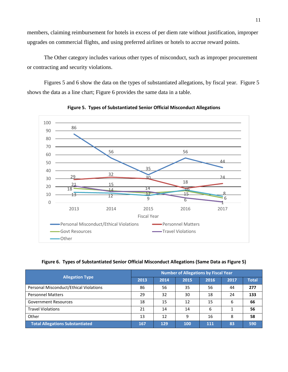members, claiming reimbursement for hotels in excess of per diem rate without justification, improper upgrades on commercial flights, and using preferred airlines or hotels to accrue reward points.

The Other category includes various other types of misconduct, such as improper procurement or contracting and security violations.

Figures 5 and 6 show the data on the types of substantiated allegations, by fiscal year. Figure 5 shows the data as a line chart; Figure 6 provides the same data in a table.





**Figure 6. Types of Substantiated Senior Official Misconduct Allegations (Same Data as Figure 5)**

|                                        | <b>Number of Allegations by Fiscal Year</b> |      |      |      |      |              |  |  |  |  |
|----------------------------------------|---------------------------------------------|------|------|------|------|--------------|--|--|--|--|
| <b>Allegation Type</b>                 | 2013                                        | 2014 | 2015 | 2016 | 2017 | <b>Total</b> |  |  |  |  |
| Personal Misconduct/Ethical Violations | 86                                          | 56   | 35   | 56   | 44   | 277          |  |  |  |  |
| <b>Personnel Matters</b>               | 29                                          | 32   | 30   | 18   | 24   | 133          |  |  |  |  |
| <b>Government Resources</b>            | 18                                          | 15   | 12   | 15   | 6    | 66           |  |  |  |  |
| <b>Travel Violations</b>               | 21                                          | 14   | 14   | 6    |      | 56           |  |  |  |  |
| Other                                  | 13                                          | 12   | q    | 16   | 8    | 58           |  |  |  |  |
| <b>Total Allegations Substantiated</b> | 167                                         | 129  | 100  | 111  | 83   | 590          |  |  |  |  |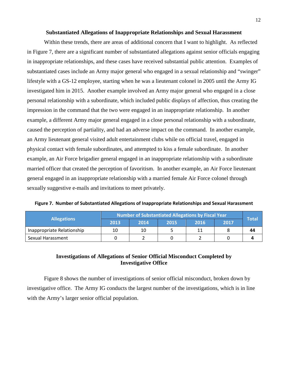#### **Substantiated Allegations of Inappropriate Relationships and Sexual Harassment**

Within these trends, there are areas of additional concern that I want to highlight. As reflected in Figure 7, there are a significant number of substantiated allegations against senior officials engaging in inappropriate relationships, and these cases have received substantial public attention. Examples of substantiated cases include an Army major general who engaged in a sexual relationship and "swinger" lifestyle with a GS-12 employee, starting when he was a lieutenant colonel in 2005 until the Army IG investigated him in 2015. Another example involved an Army major general who engaged in a close personal relationship with a subordinate, which included public displays of affection, thus creating the impression in the command that the two were engaged in an inappropriate relationship. In another example, a different Army major general engaged in a close personal relationship with a subordinate, caused the perception of partiality, and had an adverse impact on the command. In another example, an Army lieutenant general visited adult entertainment clubs while on official travel, engaged in physical contact with female subordinates, and attempted to kiss a female subordinate. In another example, an Air Force brigadier general engaged in an inappropriate relationship with a subordinate married officer that created the perception of favoritism. In another example, an Air Force lieutenant general engaged in an inappropriate relationship with a married female Air Force colonel through sexually suggestive e-mails and invitations to meet privately.

| <b>Allegations</b>         |      | Number of Substantiated Allegations by Fiscal Year |      |      |      |              |  |  |  |  |
|----------------------------|------|----------------------------------------------------|------|------|------|--------------|--|--|--|--|
|                            | 2013 | 2014                                               | 2015 | 2016 | 2017 | <b>Total</b> |  |  |  |  |
| Inappropriate Relationship | 10   | 10                                                 |      |      |      | 44           |  |  |  |  |
| Sexual Harassment          |      |                                                    |      |      |      |              |  |  |  |  |

**Figure 7. Number of Substantiated Allegations of Inappropriate Relationships and Sexual Harassment** 

#### **Investigations of Allegations of Senior Official Misconduct Completed by Investigative Office**

Figure 8 shows the number of investigations of senior official misconduct, broken down by investigative office. The Army IG conducts the largest number of the investigations, which is in line with the Army's larger senior official population.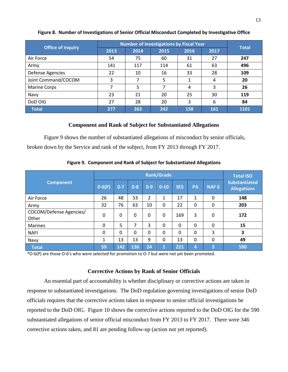|                          |      |      | <b>Number of Investigations by Fiscal Year</b> |      |      | <b>Total</b> |  |
|--------------------------|------|------|------------------------------------------------|------|------|--------------|--|
| <b>Office of Inquiry</b> | 2013 | 2014 | 2015                                           | 2016 | 2017 |              |  |
| Air Force                | 54   | 75   | 60                                             | 31   | 27   | 247          |  |
| Army                     | 141  | 117  | 114                                            | 61   | 63   | 496          |  |
| Defense Agencies         | 22   | 10   | 16                                             | 33   | 28   | 109          |  |
| Joint Command/COCOM      | 3    | 7    | 5                                              | 1    | 4    | 20           |  |
| <b>Marine Corps</b>      | ⇁    | 5    |                                                | 4    | 3    | 26           |  |
| Navy                     | 23   | 21   | 20                                             | 25   | 30   | 119          |  |
| DoD OIG                  | 27   | 28   | 20                                             | 3    | 6    | 84           |  |
| <b>Total</b>             | 277  | 263  | 242                                            | 158  | 161  | 1101         |  |

#### **Figure 8. Number of Investigations of Senior Official Misconduct Completed by Investigative Office**

#### **Component and Rank of Subject for Substantiated Allegations**

Figure 9 shows the number of substantiated allegations of misconduct by senior officials, broken down by the Service and rank of the subject, from FY 2013 through FY 2017.

| <b>Component</b>                 |            |         |          |          | <b>Rank/Grade</b> |            |    |                  | <b>Total ISO</b>                           |
|----------------------------------|------------|---------|----------|----------|-------------------|------------|----|------------------|--------------------------------------------|
|                                  | $0 - 6(P)$ | $0 - 7$ | $0 - 8$  | $0 - 9$  | $0 - 10$          | <b>SES</b> | PA | NAF <sub>6</sub> | <b>Substantiated</b><br><b>Allegations</b> |
| Air Force                        | 26         | 48      | 53       | 2        | 1                 | 17         | 1  | 0                | 148                                        |
| Army                             | 32         | 76      | 63       | 10       | 0                 | 22         | 0  | 0                | 203                                        |
| COCOM/Defense Agencies/<br>Other | 0          | 0       | 0        | $\Omega$ | 0                 | 169        | 3  | 0                | 172                                        |
| <b>Marines</b>                   | 0          | 5       | 7        | 3        | 0                 | 0          | 0  | 0                | 15                                         |
| <b>NAFI</b>                      | 0          | 0       | $\Omega$ | 0        | 0                 | $\Omega$   | 0  | 3                | 3                                          |
| Navy                             | 1          | 13      | 13       | 9        | 0                 | 13         | 0  | 0                | 49                                         |
| <b>Total</b>                     | 59         | 142     | 136      | 24       | 1                 | 221        | 4  | 3                | 590                                        |

**Figure 9. Component and Rank of Subject for Substantiated Allegations**

\*O-6(P) are those O-6's who were selected for promotion to O-7 but were not yet been promoted.

#### **Corrective Actions by Rank of Senior Officials**

An essential part of accountability is whether disciplinary or corrective actions are taken in response to substantiated investigations. The DoD regulation governing investigations of senior DoD officials requires that the corrective actions taken in response to senior official investigations be reported to the DoD OIG. Figure 10 shows the corrective actions reported to the DoD OIG for the 590 substantiated allegations of senior official misconduct from FY 2013 to FY 2017. There were 346 corrective actions taken, and 81 are pending follow-up (action not yet reported).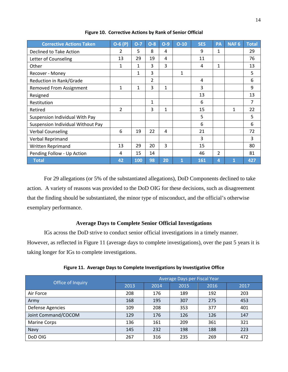| <b>Corrective Actions Taken</b>   | $O-6(P)$       | $O-7$ | $O-8$ | $O-9$        | $O-10$ | <b>SES</b> | PA | <b>NAF6</b> | <b>Total</b> |
|-----------------------------------|----------------|-------|-------|--------------|--------|------------|----|-------------|--------------|
| Declined to Take Action           | $\mathfrak{p}$ | 5     | 8     | 4            |        | 9          | 1  |             | 29           |
| Letter of Counseling              | 13             | 29    | 19    | 4            |        | 11         |    |             | 76           |
| Other                             | 1              | 1     | 3     | 3            |        | 4          | 1  |             | 13           |
| Recover - Money                   |                | 1     | 3     |              | 1      |            |    |             | 5            |
| Reduction in Rank/Grade           |                |       | 2     |              |        | 4          |    |             | 6            |
| <b>Removed From Assignment</b>    | 1              | 1     | 3     | $\mathbf{1}$ |        | 3          |    |             | 9            |
| Resigned                          |                |       |       |              |        | 13         |    |             | 13           |
| Restitution                       |                |       | 1     |              |        | 6          |    |             | 7            |
| Retired                           | 2              |       | 3     | 1            |        | 15         |    | 1           | 22           |
| Suspension Individual With Pay    |                |       |       |              |        | 5          |    |             | 5            |
| Suspension Individual Without Pay |                |       |       |              |        | 6          |    |             | 6            |
| <b>Verbal Counseling</b>          | 6              | 19    | 22    | 4            |        | 21         |    |             | 72           |
| Verbal Reprimand                  |                |       |       |              |        | 3          |    |             | 3            |
| <b>Written Reprimand</b>          | 13             | 29    | 20    | 3            |        | 15         |    |             | 80           |
| Pending Follow - Up Action        | 4              | 15    | 14    |              |        | 46         | 2  |             | 81           |
| <b>Total</b>                      | 42             | 100   | 98    | 20           | 1      | 161        | 4  | 1           | 427          |

**Figure 10. Corrective Actions by Rank of Senior Official**

For 29 allegations (or 5% of the substantiated allegations), DoD Components declined to take action. A variety of reasons was provided to the DoD OIG for these decisions, such as disagreement that the finding should be substantiated, the minor type of misconduct, and the official's otherwise exemplary performance.

#### **Average Days to Complete Senior Official Investigations**

IGs across the DoD strive to conduct senior official investigations in a timely manner. However, as reflected in Figure 11 (average days to complete investigations), over the past 5 years it is taking longer for IGs to complete investigations.

|                     | Average Days per Fiscal Year |      |      |      |      |  |  |  |  |
|---------------------|------------------------------|------|------|------|------|--|--|--|--|
| Office of Inquiry   | 2013                         | 2014 | 2015 | 2016 | 2017 |  |  |  |  |
| Air Force           | 208                          | 176  | 189  | 192  | 203  |  |  |  |  |
| Army                | 168                          | 195  | 307  | 275  | 453  |  |  |  |  |
| Defense Agencies    | 109                          | 208  | 353  | 377  | 401  |  |  |  |  |
| Joint Command/COCOM | 129                          | 176  | 126  | 126  | 147  |  |  |  |  |
| <b>Marine Corps</b> | 136                          | 161  | 209  | 361  | 321  |  |  |  |  |
| Navy                | 145                          | 232  | 198  | 188  | 223  |  |  |  |  |
| DoD OIG             | 267                          | 316  | 235  | 269  | 472  |  |  |  |  |

| Figure 11. Average Days to Complete Investigations by Investigative Office |  |  |  |
|----------------------------------------------------------------------------|--|--|--|
|                                                                            |  |  |  |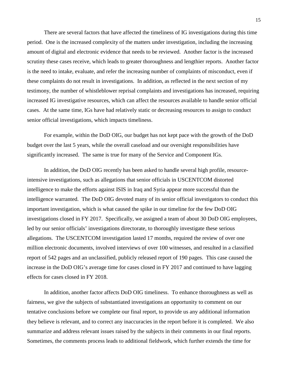There are several factors that have affected the timeliness of IG investigations during this time period. One is the increased complexity of the matters under investigation, including the increasing amount of digital and electronic evidence that needs to be reviewed. Another factor is the increased scrutiny these cases receive, which leads to greater thoroughness and lengthier reports. Another factor is the need to intake, evaluate, and refer the increasing number of complaints of misconduct, even if these complaints do not result in investigations. In addition, as reflected in the next section of my testimony, the number of whistleblower reprisal complaints and investigations has increased, requiring increased IG investigative resources, which can affect the resources available to handle senior official cases. At the same time, IGs have had relatively static or decreasing resources to assign to conduct senior official investigations, which impacts timeliness.

For example, within the DoD OIG, our budget has not kept pace with the growth of the DoD budget over the last 5 years, while the overall caseload and our oversight responsibilities have significantly increased. The same is true for many of the Service and Component IGs.

In addition, the DoD OIG recently has been asked to handle several high profile, resourceintensive investigations, such as allegations that senior officials in USCENTCOM distorted intelligence to make the efforts against ISIS in Iraq and Syria appear more successful than the intelligence warranted. The DoD OIG devoted many of its senior official investigators to conduct this important investigation, which is what caused the spike in our timeline for the few DoD OIG investigations closed in FY 2017. Specifically, we assigned a team of about 30 DoD OIG employees, led by our senior officials' investigations directorate, to thoroughly investigate these serious allegations. The USCENTCOM investigation lasted 17 months, required the review of over one million electronic documents, involved interviews of over 100 witnesses, and resulted in a classified report of 542 pages and an unclassified, publicly released report of 190 pages. This case caused the increase in the DoD OIG's average time for cases closed in FY 2017 and continued to have lagging effects for cases closed in FY 2018.

In addition, another factor affects DoD OIG timeliness. To enhance thoroughness as well as fairness, we give the subjects of substantiated investigations an opportunity to comment on our tentative conclusions before we complete our final report, to provide us any additional information they believe is relevant, and to correct any inaccuracies in the report before it is completed. We also summarize and address relevant issues raised by the subjects in their comments in our final reports. Sometimes, the comments process leads to additional fieldwork, which further extends the time for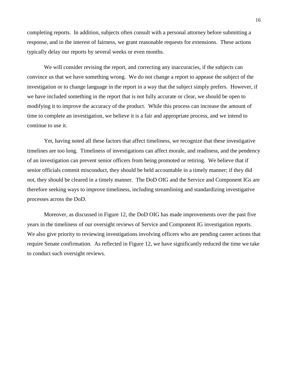completing reports. In addition, subjects often consult with a personal attorney before submitting a response, and in the interest of fairness, we grant reasonable requests for extensions. These actions typically delay our reports by several weeks or even months.

We will consider revising the report, and correcting any inaccuracies, if the subjects can convince us that we have something wrong. We do not change a report to appease the subject of the investigation or to change language in the report in a way that the subject simply prefers. However, if we have included something in the report that is not fully accurate or clear, we should be open to modifying it to improve the accuracy of the product. While this process can increase the amount of time to complete an investigation, we believe it is a fair and appropriate process, and we intend to continue to use it.

Yet, having noted all these factors that affect timeliness, we recognize that these investigative timelines are too long. Timeliness of investigations can affect morale, and readiness, and the pendency of an investigation can prevent senior officers from being promoted or retiring. We believe that if senior officials commit misconduct, they should be held accountable in a timely manner; if they did not, they should be cleared in a timely manner. The DoD OIG and the Service and Component IGs are therefore seeking ways to improve timeliness, including streamlining and standardizing investigative processes across the DoD.

Moreover, as discussed in Figure 12, the DoD OIG has made improvements over the past five years in the timeliness of our oversight reviews of Service and Component IG investigation reports. We also give priority to reviewing investigations involving officers who are pending career actions that require Senate confirmation. As reflected in Figure 12, we have significantly reduced the time we take to conduct such oversight reviews.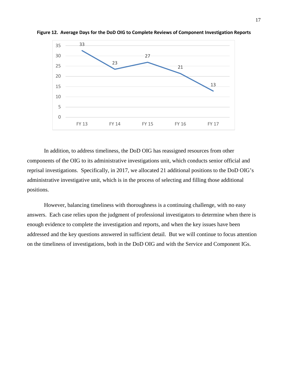

**Figure 12. Average Days for the DoD OIG to Complete Reviews of Component Investigation Reports**

In addition, to address timeliness, the DoD OIG has reassigned resources from other components of the OIG to its administrative investigations unit, which conducts senior official and reprisal investigations. Specifically, in 2017, we allocated 21 additional positions to the DoD OIG's administrative investigative unit, which is in the process of selecting and filling those additional positions.

However, balancing timeliness with thoroughness is a continuing challenge, with no easy answers. Each case relies upon the judgment of professional investigators to determine when there is enough evidence to complete the investigation and reports, and when the key issues have been addressed and the key questions answered in sufficient detail. But we will continue to focus attention on the timeliness of investigations, both in the DoD OIG and with the Service and Component IGs.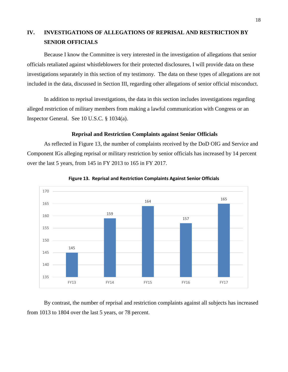### **IV. INVESTIGATIONS OF ALLEGATIONS OF REPRISAL AND RESTRICTION BY SENIOR OFFICIALS**

Because I know the Committee is very interested in the investigation of allegations that senior officials retaliated against whistleblowers for their protected disclosures, I will provide data on these investigations separately in this section of my testimony. The data on these types of allegations are not included in the data, discussed in Section III, regarding other allegations of senior official misconduct.

In addition to reprisal investigations, the data in this section includes investigations regarding alleged restriction of military members from making a lawful communication with Congress or an Inspector General. See 10 U.S.C. § 1034(a).

#### **Reprisal and Restriction Complaints against Senior Officials**

As reflected in Figure 13, the number of complaints received by the DoD OIG and Service and Component IGs alleging reprisal or military restriction by senior officials has increased by 14 percent over the last 5 years, from 145 in FY 2013 to 165 in FY 2017.





By contrast, the number of reprisal and restriction complaints against all subjects has increased from 1013 to 1804 over the last 5 years, or 78 percent.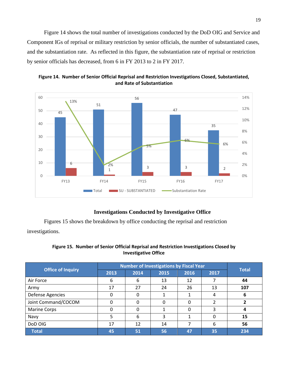Figure 14 shows the total number of investigations conducted by the DoD OIG and Service and Component IGs of reprisal or military restriction by senior officials, the number of substantiated cases, and the substantiation rate. As reflected in this figure, the substantiation rate of reprisal or restriction by senior officials has decreased, from 6 in FY 2013 to 2 in FY 2017.



**Figure 14. Number of Senior Official Reprisal and Restriction Investigations Closed, Substantiated, and Rate of Substantiation**

#### **Investigations Conducted by Investigative Office**

Figures 15 shows the breakdown by office conducting the reprisal and restriction investigations.

| Figure 15. Number of Senior Official Reprisal and Restriction Investigations Closed by |
|----------------------------------------------------------------------------------------|
| <b>Investigative Office</b>                                                            |

|                          |      |      | <b>Number of Investigations by Fiscal Year</b> |      |      | <b>Total</b> |  |
|--------------------------|------|------|------------------------------------------------|------|------|--------------|--|
| <b>Office of Inquiry</b> | 2013 | 2014 | 2015                                           | 2016 | 2017 |              |  |
| Air Force                | 6    | 6    | 13                                             | 12   |      | 44           |  |
| Army                     | 17   | 27   | 24                                             | 26   | 13   | 107          |  |
| Defense Agencies         | 0    | O    |                                                |      | 4    |              |  |
| Joint Command/COCOM      | 0    |      | 0                                              | 0    |      |              |  |
| <b>Marine Corps</b>      |      |      |                                                | 0    | 3    |              |  |
| Navy                     |      | 6    | 3                                              |      | 0    | 15           |  |
| DoD OIG                  | 17   | 12   | 14                                             |      | 6    | 56           |  |
| <b>Total</b>             | 45   | 51   | 56                                             | 47   | 35   | 234          |  |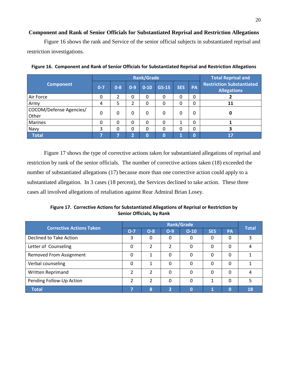#### **Component and Rank of Senior Officials for Substantiated Reprisal and Restriction Allegations**

Figure 16 shows the rank and Service of the senior official subjects in substantiated reprisal and restriction investigations.

|                                  |                                                      |   |                        | <b>Rank/Grade</b> |                                                        |   |                | <b>Total Reprisal and</b> |
|----------------------------------|------------------------------------------------------|---|------------------------|-------------------|--------------------------------------------------------|---|----------------|---------------------------|
| <b>Component</b>                 | $0 - 7$<br>$GS-15$<br>$0 - 8$<br>$0 - 9$<br>$0 - 10$ |   | <b>SES</b>             | PA                | <b>Restriction Substantiated</b><br><b>Allegations</b> |   |                |                           |
| Air Force                        | 0                                                    | 2 | 0                      | 0                 | 0                                                      | 0 | $\Omega$       |                           |
| Army                             | 4                                                    | 5 | 2                      | 0                 | 0                                                      | 0 | 0              | 11                        |
| COCOM/Defense Agencies/<br>Other | 0                                                    | 0 | 0                      | 0                 | 0                                                      | 0 | 0              | 0                         |
| <b>Marines</b>                   | 0                                                    | 0 | 0                      | $\Omega$          | $\Omega$                                               |   | 0              |                           |
| Navy                             | 3                                                    | 0 | 0                      | 0                 | 0                                                      | 0 | $\Omega$       |                           |
| <b>Total</b>                     | 5                                                    | 7 | $\mathbf{\mathcal{L}}$ | $\mathbf 0$       | $\Omega$                                               | и | $\overline{0}$ | 17                        |

**Figure 16. Component and Rank of Senior Officials for Substantiated Reprisal and Restriction Allegations** 

Figure 17 shows the type of corrective actions taken for substantiated allegations of reprisal and restriction by rank of the senior officials. The number of corrective actions taken (18) exceeded the number of substantiated allegations (17) because more than one corrective action could apply to a substantiated allegation. In 3 cases (18 percent), the Services declined to take action. These three cases all involved allegations of retaliation against Rear Admiral Brian Losey.

**Figure 17. Corrective Actions for Substantiated Allegations of Reprisal or Restriction by Senior Officials, by Rank**

| <b>Corrective Actions Taken</b> |               | <b>Rank/Grade</b> |                |          |            |          |              |  |  |
|---------------------------------|---------------|-------------------|----------------|----------|------------|----------|--------------|--|--|
|                                 | $O - 7$       | $O-8$             | $O-9$          | $O-10$   | <b>SES</b> | PA       | <b>Total</b> |  |  |
| Declined to Take Action         | 3             | 0                 | 0              | 0        | 0          | 0        |              |  |  |
| Letter of Counseling            | 0             | $\mathfrak{p}$    | $\mathfrak{p}$ | 0        | 0          | 0        |              |  |  |
| <b>Removed From Assignment</b>  | 0             | 1                 | 0              | 0        | 0          | $\Omega$ |              |  |  |
| Verbal counseling               | 0             | 1                 | 0              | 0        | $\Omega$   | 0        |              |  |  |
| Written Reprimand               | $\mathfrak z$ | $\mathfrak z$     | 0              | 0        | 0          | 0        |              |  |  |
| Pending Follow-Up Action        | 2             | $\mathfrak z$     | $\Omega$       | $\Omega$ |            | $\Omega$ |              |  |  |
| <b>Total</b>                    |               | 8                 | 2              | $\Omega$ |            | $\Omega$ | 18           |  |  |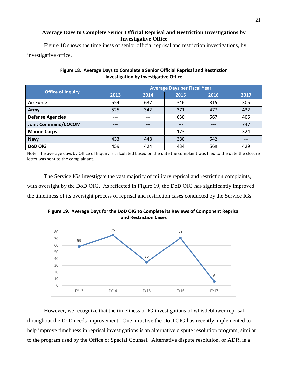#### **Average Days to Complete Senior Official Reprisal and Restriction Investigations by Investigative Office**

Figure 18 shows the timeliness of senior official reprisal and restriction investigations, by investigative office.

|                            | <b>Average Days per Fiscal Year</b> |       |       |       |      |  |  |  |  |  |
|----------------------------|-------------------------------------|-------|-------|-------|------|--|--|--|--|--|
| <b>Office of Inquiry</b>   | 2013                                | 2014  | 2015  | 2016  | 2017 |  |  |  |  |  |
| <b>Air Force</b>           | 554                                 | 637   | 346   | 315   | 305  |  |  |  |  |  |
| Army                       | 525                                 | 342   | 371   | 477   | 432  |  |  |  |  |  |
| <b>Defense Agencies</b>    | ---                                 | $---$ | 630   | 567   | 405  |  |  |  |  |  |
| <b>Joint Command/COCOM</b> | ---                                 | $---$ | $---$ | $---$ | 747  |  |  |  |  |  |
| <b>Marine Corps</b>        | ---                                 | $---$ | 173   | $---$ | 324  |  |  |  |  |  |
| <b>Navy</b>                | 433                                 | 448   | 380   | 542   |      |  |  |  |  |  |
| <b>DoD OIG</b>             | 459                                 | 424   | 434   | 569   | 429  |  |  |  |  |  |

#### **Figure 18. Average Days to Complete a Senior Official Reprisal and Restriction Investigation by Investigative Office**

Note: The average days by Office of Inquiry is calculated based on the date the complaint was filed to the date the closure letter was sent to the complainant.

The Service IGs investigate the vast majority of military reprisal and restriction complaints, with oversight by the DoD OIG. As reflected in Figure 19, the DoD OIG has significantly improved the timeliness of its oversight process of reprisal and restriction cases conducted by the Service IGs.

**Figure 19. Average Days for the DoD OIG to Complete its Reviews of Component Reprisal and Restriction Cases** 



However, we recognize that the timeliness of IG investigations of whistleblower reprisal throughout the DoD needs improvement. One initiative the DoD OIG has recently implemented to help improve timeliness in reprisal investigations is an alternative dispute resolution program, similar to the program used by the Office of Special Counsel. Alternative dispute resolution, or ADR, is a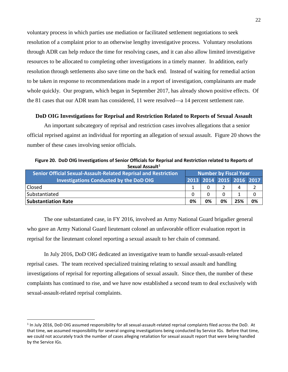voluntary process in which parties use mediation or facilitated settlement negotiations to seek resolution of a complaint prior to an otherwise lengthy investigative process. Voluntary resolutions through ADR can help reduce the time for resolving cases, and it can also allow limited investigative resources to be allocated to completing other investigations in a timely manner. In addition, early resolution through settlements also save time on the back end. Instead of waiting for remedial action to be taken in response to recommendations made in a report of investigation, complainants are made whole quickly. Our program, which began in September 2017, has already shown positive effects. Of the 81 cases that our ADR team has considered, 11 were resolved—a 14 percent settlement rate.

#### **DoD OIG Investigations for Reprisal and Restriction Related to Reports of Sexual Assault**

An important subcategory of reprisal and restriction cases involves allegations that a senior official reprised against an individual for reporting an allegation of sexual assault. Figure 20 shows the number of these cases involving senior officials.

**Figure 20. DoD OIG Investigations of Senior Officials for Reprisal and Restriction related to Reports of Sexual Assault[1](#page-22-0) Senior Official Sexual-Assault-Related Reprisal and Restriction Number by Fiscal Year**

| Senior Official Sexual-Assault-Related Reprisal and Restriction | <b>Number by Fiscal Year</b> |    |    |                          |    |
|-----------------------------------------------------------------|------------------------------|----|----|--------------------------|----|
| <b>Investigations Conducted by the DoD OIG</b>                  |                              |    |    | 2013 2014 2015 2016 2017 |    |
| Closed                                                          |                              |    |    | 4                        |    |
| Substantiated                                                   |                              |    |    |                          |    |
| <b>Substantiation Rate</b>                                      | 0%                           | 0% | 0% | 25%                      | 0% |

The one substantiated case, in FY 2016, involved an Army National Guard brigadier general who gave an Army National Guard lieutenant colonel an unfavorable officer evaluation report in reprisal for the lieutenant colonel reporting a sexual assault to her chain of command.

In July 2016, DoD OIG dedicated an investigative team to handle sexual-assault-related reprisal cases. The team received specialized training relating to sexual assault and handling investigations of reprisal for reporting allegations of sexual assault. Since then, the number of these complaints has continued to rise, and we have now established a second team to deal exclusively with sexual-assault-related reprisal complaints.

<span id="page-22-0"></span> $1$  In July 2016, DoD OIG assumed responsibility for all sexual-assault-related reprisal complaints filed across the DoD. At that time, we assumed responsibility for several ongoing investigations being conducted by Service IGs. Before that time, we could not accurately track the number of cases alleging retaliation for sexual assault report that were being handled by the Service IGs.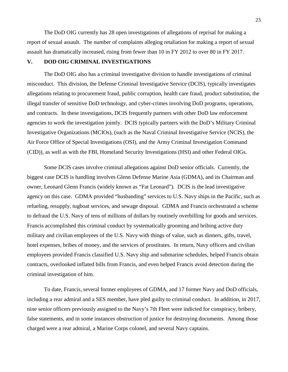The DoD OIG currently has 28 open investigations of allegations of reprisal for making a report of sexual assault. The number of complaints alleging retaliation for making a report of sexual assault has dramatically increased, rising from fewer than 10 in FY 2012 to over 80 in FY 2017.

#### **V. DOD OIG CRIMINAL INVESTIGATIONS**

The DoD OIG also has a criminal investigative division to handle investigations of criminal misconduct. This division, the Defense Criminal Investigative Service (DCIS), typically investigates allegations relating to procurement fraud, public corruption, health care fraud, product substitution, the illegal transfer of sensitive DoD technology, and cyber-crimes involving DoD programs, operations, and contracts. In these investigations, DCIS frequently partners with other DoD law enforcement agencies to work the investigation jointly. DCIS typically partners with the DoD's Military Criminal Investigative Organizations (MCIOs), (such as the Naval Criminal Investigative Service (NCIS), the Air Force Office of Special Investigations (OSI), and the Army Criminal Investigation Command (CID)), as well as with the FBI, Homeland Security Investigations (HSI) and other Federal OIGs.

Some DCIS cases involve criminal allegations against DoD senior officials. Currently, the biggest case DCIS is handling involves Glenn Defense Marine Asia (GDMA), and its Chairman and owner, Leonard Glenn Francis (widely known as "Fat Leonard"). DCIS is the lead investigative agency on this case. GDMA provided "husbanding" services to U.S. Navy ships in the Pacific, such as refueling, resupply, tugboat services, and sewage disposal. GDMA and Francis orchestrated a scheme to defraud the U.S. Navy of tens of millions of dollars by routinely overbilling for goods and services. Francis accomplished this criminal conduct by systematically grooming and bribing active duty military and civilian employees of the U.S. Navy with things of value, such as dinners, gifts, travel, hotel expenses, bribes of money, and the services of prostitutes. In return, Navy officers and civilian employees provided Francis classified U.S. Navy ship and submarine schedules, helped Francis obtain contracts, overlooked inflated bills from Francis, and even helped Francis avoid detection during the criminal investigation of him.

To date, Francis, several former employees of GDMA, and 17 former Navy and DoD officials, including a rear admiral and a SES member, have pled guilty to criminal conduct. In addition, in 2017, nine senior officers previously assigned to the Navy's 7th Fleet were indicted for conspiracy, bribery, false statements, and in some instances obstruction of justice for destroying documents. Among those charged were a rear admiral, a Marine Corps colonel, and several Navy captains.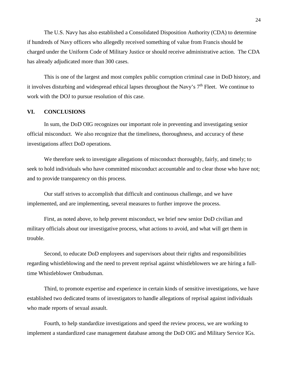The U.S. Navy has also established a Consolidated Disposition Authority (CDA) to determine if hundreds of Navy officers who allegedly received something of value from Francis should be charged under the Uniform Code of Military Justice or should receive administrative action. The CDA has already adjudicated more than 300 cases.

This is one of the largest and most complex public corruption criminal case in DoD history, and it involves disturbing and widespread ethical lapses throughout the Navy's  $7<sup>th</sup>$  Fleet. We continue to work with the DOJ to pursue resolution of this case.

#### **VI. CONCLUSIONS**

In sum, the DoD OIG recognizes our important role in preventing and investigating senior official misconduct. We also recognize that the timeliness, thoroughness, and accuracy of these investigations affect DoD operations.

We therefore seek to investigate allegations of misconduct thoroughly, fairly, and timely; to seek to hold individuals who have committed misconduct accountable and to clear those who have not; and to provide transparency on this process.

Our staff strives to accomplish that difficult and continuous challenge, and we have implemented, and are implementing, several measures to further improve the process.

First, as noted above, to help prevent misconduct, we brief new senior DoD civilian and military officials about our investigative process, what actions to avoid, and what will get them in trouble.

Second, to educate DoD employees and supervisors about their rights and responsibilities regarding whistleblowing and the need to prevent reprisal against whistleblowers we are hiring a fulltime Whistleblower Ombudsman.

Third, to promote expertise and experience in certain kinds of sensitive investigations, we have established two dedicated teams of investigators to handle allegations of reprisal against individuals who made reports of sexual assault.

Fourth, to help standardize investigations and speed the review process, we are working to implement a standardized case management database among the DoD OIG and Military Service IGs.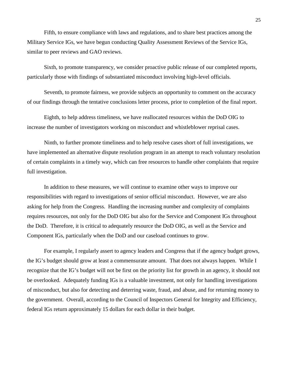Fifth, to ensure compliance with laws and regulations, and to share best practices among the Military Service IGs, we have begun conducting Quality Assessment Reviews of the Service IGs, similar to peer reviews and GAO reviews.

Sixth, to promote transparency, we consider proactive public release of our completed reports, particularly those with findings of substantiated misconduct involving high-level officials.

Seventh, to promote fairness, we provide subjects an opportunity to comment on the accuracy of our findings through the tentative conclusions letter process, prior to completion of the final report.

Eighth, to help address timeliness, we have reallocated resources within the DoD OIG to increase the number of investigators working on misconduct and whistleblower reprisal cases.

Ninth, to further promote timeliness and to help resolve cases short of full investigations, we have implemented an alternative dispute resolution program in an attempt to reach voluntary resolution of certain complaints in a timely way, which can free resources to handle other complaints that require full investigation.

In addition to these measures, we will continue to examine other ways to improve our responsibilities with regard to investigations of senior official misconduct. However, we are also asking for help from the Congress. Handling the increasing number and complexity of complaints requires resources, not only for the DoD OIG but also for the Service and Component IGs throughout the DoD. Therefore, it is critical to adequately resource the DoD OIG, as well as the Service and Component IGs, particularly when the DoD and our caseload continues to grow.

For example, I regularly assert to agency leaders and Congress that if the agency budget grows, the IG's budget should grow at least a commensurate amount. That does not always happen. While I recognize that the IG's budget will not be first on the priority list for growth in an agency, it should not be overlooked. Adequately funding IGs is a valuable investment, not only for handling investigations of misconduct, but also for detecting and deterring waste, fraud, and abuse, and for returning money to the government. Overall, according to the Council of Inspectors General for Integrity and Efficiency, federal IGs return approximately 15 dollars for each dollar in their budget.